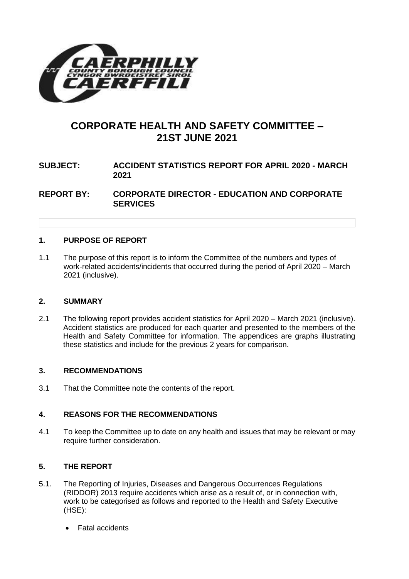

# **CORPORATE HEALTH AND SAFETY COMMITTEE – 21ST JUNE 2021**

# **SUBJECT: ACCIDENT STATISTICS REPORT FOR APRIL 2020 - MARCH 2021**

**REPORT BY: CORPORATE DIRECTOR - EDUCATION AND CORPORATE SERVICES**

#### **1. PURPOSE OF REPORT**

1.1 The purpose of this report is to inform the Committee of the numbers and types of work-related accidents/incidents that occurred during the period of April 2020 – March 2021 (inclusive).

#### **2. SUMMARY**

2.1 The following report provides accident statistics for April 2020 – March 2021 (inclusive). Accident statistics are produced for each quarter and presented to the members of the Health and Safety Committee for information. The appendices are graphs illustrating these statistics and include for the previous 2 years for comparison.

#### **3. RECOMMENDATIONS**

3.1 That the Committee note the contents of the report.

#### **4. REASONS FOR THE RECOMMENDATIONS**

4.1 To keep the Committee up to date on any health and issues that may be relevant or may require further consideration.

#### **5. THE REPORT**

- 5.1. The Reporting of Injuries, Diseases and Dangerous Occurrences Regulations (RIDDOR) 2013 require accidents which arise as a result of, or in connection with, work to be categorised as follows and reported to the Health and Safety Executive (HSE):
	- Fatal accidents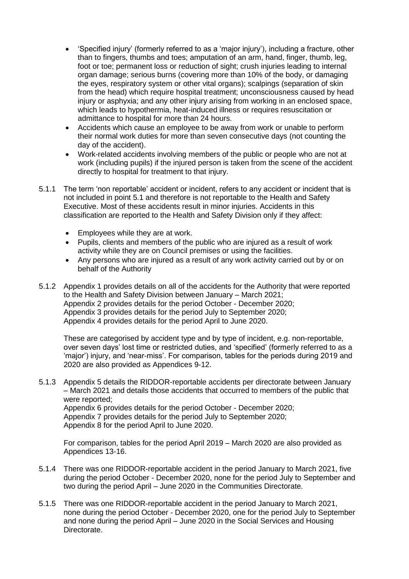- 'Specified injury' (formerly referred to as a 'major injury'), including a fracture, other than to fingers, thumbs and toes; amputation of an arm, hand, finger, thumb, leg, foot or toe; permanent loss or reduction of sight; crush injuries leading to internal organ damage; serious burns (covering more than 10% of the body, or damaging the eyes, respiratory system or other vital organs); scalpings (separation of skin from the head) which require hospital treatment; unconsciousness caused by head injury or asphyxia; and any other injury arising from working in an enclosed space, which leads to hypothermia, heat-induced illness or requires resuscitation or admittance to hospital for more than 24 hours.
- Accidents which cause an employee to be away from work or unable to perform their normal work duties for more than seven consecutive days (not counting the day of the accident).
- Work-related accidents involving members of the public or people who are not at work (including pupils) if the injured person is taken from the scene of the accident directly to hospital for treatment to that injury.
- 5.1.1 The term 'non reportable' accident or incident, refers to any accident or incident that is not included in point 5.1 and therefore is not reportable to the Health and Safety Executive. Most of these accidents result in minor injuries. Accidents in this classification are reported to the Health and Safety Division only if they affect:
	- Employees while they are at work.
	- Pupils, clients and members of the public who are injured as a result of work activity while they are on Council premises or using the facilities.
	- Any persons who are injured as a result of any work activity carried out by or on behalf of the Authority
- 5.1.2 Appendix 1 provides details on all of the accidents for the Authority that were reported to the Health and Safety Division between January – March 2021; Appendix 2 provides details for the period October - December 2020; Appendix 3 provides details for the period July to September 2020; Appendix 4 provides details for the period April to June 2020.

These are categorised by accident type and by type of incident, e.g. non-reportable, over seven days' lost time or restricted duties, and 'specified' (formerly referred to as a 'major') injury, and 'near-miss'. For comparison, tables for the periods during 2019 and 2020 are also provided as Appendices 9-12.

5.1.3 Appendix 5 details the RIDDOR-reportable accidents per directorate between January – March 2021 and details those accidents that occurred to members of the public that were reported;

Appendix 6 provides details for the period October - December 2020; Appendix 7 provides details for the period July to September 2020; Appendix 8 for the period April to June 2020.

For comparison, tables for the period April 2019 – March 2020 are also provided as Appendices 13-16.

- 5.1.4 There was one RIDDOR-reportable accident in the period January to March 2021, five during the period October - December 2020, none for the period July to September and two during the period April – June 2020 in the Communities Directorate.
- 5.1.5 There was one RIDDOR-reportable accident in the period January to March 2021, none during the period October - December 2020, one for the period July to September and none during the period April – June 2020 in the Social Services and Housing Directorate.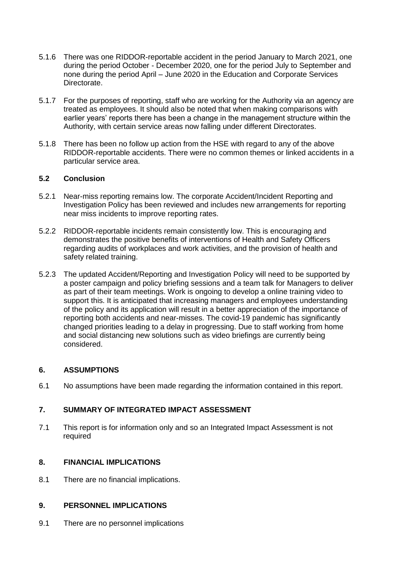- 5.1.6 There was one RIDDOR-reportable accident in the period January to March 2021, one during the period October - December 2020, one for the period July to September and none during the period April – June 2020 in the Education and Corporate Services Directorate.
- 5.1.7 For the purposes of reporting, staff who are working for the Authority via an agency are treated as employees. It should also be noted that when making comparisons with earlier years' reports there has been a change in the management structure within the Authority, with certain service areas now falling under different Directorates.
- 5.1.8 There has been no follow up action from the HSE with regard to any of the above RIDDOR-reportable accidents. There were no common themes or linked accidents in a particular service area.

### **5.2 Conclusion**

- 5.2.1 Near-miss reporting remains low. The corporate Accident/Incident Reporting and Investigation Policy has been reviewed and includes new arrangements for reporting near miss incidents to improve reporting rates.
- 5.2.2 RIDDOR-reportable incidents remain consistently low. This is encouraging and demonstrates the positive benefits of interventions of Health and Safety Officers regarding audits of workplaces and work activities, and the provision of health and safety related training.
- 5.2.3 The updated Accident/Reporting and Investigation Policy will need to be supported by a poster campaign and policy briefing sessions and a team talk for Managers to deliver as part of their team meetings. Work is ongoing to develop a online training video to support this. It is anticipated that increasing managers and employees understanding of the policy and its application will result in a better appreciation of the importance of reporting both accidents and near-misses. The covid-19 pandemic has significantly changed priorities leading to a delay in progressing. Due to staff working from home and social distancing new solutions such as video briefings are currently being considered.

#### **6. ASSUMPTIONS**

6.1 No assumptions have been made regarding the information contained in this report.

## **7. SUMMARY OF INTEGRATED IMPACT ASSESSMENT**

7.1 This report is for information only and so an Integrated Impact Assessment is not required

#### **8. FINANCIAL IMPLICATIONS**

8.1 There are no financial implications.

#### **9. PERSONNEL IMPLICATIONS**

9.1 There are no personnel implications